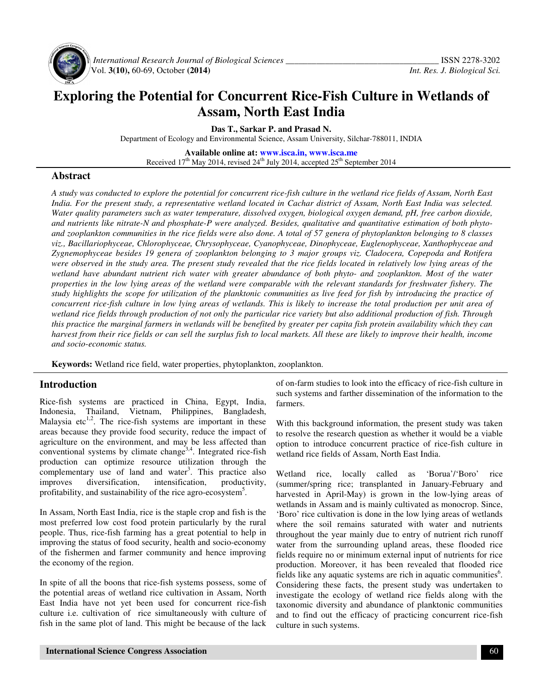

 *International Research Journal of Biological Sciences \_\_\_\_\_\_\_\_\_\_\_\_\_\_\_\_\_\_\_\_\_\_\_\_\_\_\_\_\_\_\_\_\_\_\_* ISSN 2278-3202 Vol. **3(10),** 60-69, October **(2014)** *Int. Res. J. Biological Sci.*

# **Exploring the Potential for Concurrent Rice-Fish Culture in Wetlands of Assam, North East India**

**Das T., Sarkar P. and Prasad N.** 

Department of Ecology and Environmental Science, Assam University, Silchar-788011, INDIA

**Available online at: www.isca.in, www.isca.me** Received  $17<sup>th</sup>$  May 2014, revised  $24<sup>th</sup>$  July 2014, accepted  $25<sup>th</sup>$  September 2014

#### **Abstract**

*A study was conducted to explore the potential for concurrent rice-fish culture in the wetland rice fields of Assam, North East India. For the present study, a representative wetland located in Cachar district of Assam, North East India was selected. Water quality parameters such as water temperature, dissolved oxygen, biological oxygen demand, pH, free carbon dioxide, and nutrients like nitrate-N and phosphate-P were analyzed. Besides, qualitative and quantitative estimation of both phytoand zooplankton communities in the rice fields were also done. A total of 57 genera of phytoplankton belonging to 8 classes viz., Bacillariophyceae, Chlorophyceae, Chrysophyceae, Cyanophyceae, Dinophyceae, Euglenophyceae, Xanthophyceae and Zygnemophyceae besides 19 genera of zooplankton belonging to 3 major groups viz. Cladocera, Copepoda and Rotifera*  were observed in the study area. The present study revealed that the rice fields located in relatively low lying areas of the wetland have abundant nutrient rich water with greater abundance of both phyto- and zooplankton. Most of the water *properties in the low lying areas of the wetland were comparable with the relevant standards for freshwater fishery. The study highlights the scope for utilization of the planktonic communities as live feed for fish by introducing the practice of concurrent rice-fish culture in low lying areas of wetlands. This is likely to increase the total production per unit area of wetland rice fields through production of not only the particular rice variety but also additional production of fish. Through this practice the marginal farmers in wetlands will be benefited by greater per capita fish protein availability which they can harvest from their rice fields or can sell the surplus fish to local markets. All these are likely to improve their health, income and socio-economic status.* 

**Keywords:** Wetland rice field, water properties, phytoplankton, zooplankton.

#### **Introduction**

Rice-fish systems are practiced in China, Egypt, India, Indonesia, Thailand, Vietnam, Philippines, Bangladesh, Malaysia etc<sup>1,2</sup>. The rice-fish systems are important in these areas because they provide food security, reduce the impact of agriculture on the environment, and may be less affected than conventional systems by climate change<sup>3,4</sup>. Integrated rice-fish production can optimize resource utilization through the complementary use of land and water<sup>3</sup>. This practice also improves diversification, intensification, productivity, profitability, and sustainability of the rice agro-ecosystem<sup>5</sup>.

In Assam, North East India, rice is the staple crop and fish is the most preferred low cost food protein particularly by the rural people. Thus, rice-fish farming has a great potential to help in improving the status of food security, health and socio-economy of the fishermen and farmer community and hence improving the economy of the region.

In spite of all the boons that rice-fish systems possess, some of the potential areas of wetland rice cultivation in Assam, North East India have not yet been used for concurrent rice-fish culture i.e. cultivation of rice simultaneously with culture of fish in the same plot of land. This might be because of the lack of on-farm studies to look into the efficacy of rice-fish culture in such systems and farther dissemination of the information to the farmers.

With this background information, the present study was taken to resolve the research question as whether it would be a viable option to introduce concurrent practice of rice-fish culture in wetland rice fields of Assam, North East India.

Wetland rice, locally called as 'Borua'/'Boro' rice (summer/spring rice; transplanted in January-February and harvested in April-May) is grown in the low-lying areas of wetlands in Assam and is mainly cultivated as monocrop. Since, 'Boro' rice cultivation is done in the low lying areas of wetlands where the soil remains saturated with water and nutrients throughout the year mainly due to entry of nutrient rich runoff water from the surrounding upland areas, these flooded rice fields require no or minimum external input of nutrients for rice production. Moreover, it has been revealed that flooded rice fields like any aquatic systems are rich in aquatic communities $6$ . Considering these facts, the present study was undertaken to investigate the ecology of wetland rice fields along with the taxonomic diversity and abundance of planktonic communities and to find out the efficacy of practicing concurrent rice-fish culture in such systems.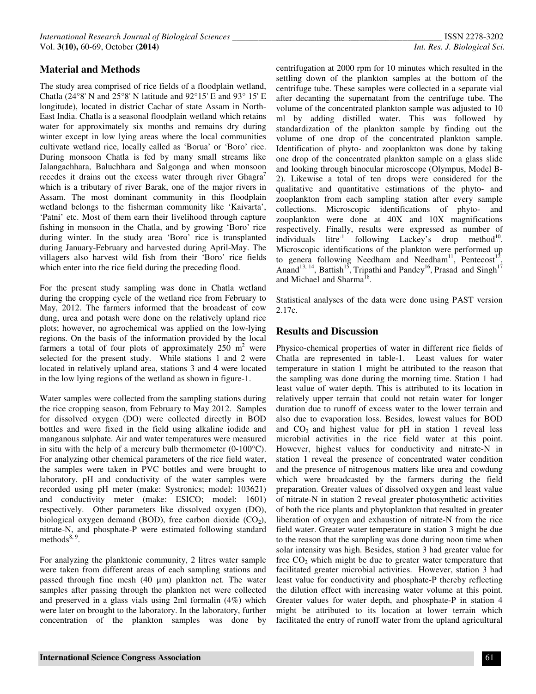## **Material and Methods**

The study area comprised of rice fields of a floodplain wetland, Chatla (24°8' N and 25°8' N latitude and 92°15' E and 93° 15' E longitude), located in district Cachar of state Assam in North-East India. Chatla is a seasonal floodplain wetland which retains water for approximately six months and remains dry during winter except in low lying areas where the local communities cultivate wetland rice, locally called as 'Borua' or 'Boro' rice. During monsoon Chatla is fed by many small streams like Jalangachhara, Baluchhara and Salgonga and when monsoon recedes it drains out the excess water through river Ghagra' which is a tributary of river Barak, one of the major rivers in Assam. The most dominant community in this floodplain wetland belongs to the fisherman community like 'Kaivarta', 'Patni' etc. Most of them earn their livelihood through capture fishing in monsoon in the Chatla, and by growing 'Boro' rice during winter. In the study area 'Boro' rice is transplanted during January-February and harvested during April-May. The villagers also harvest wild fish from their 'Boro' rice fields which enter into the rice field during the preceding flood.

For the present study sampling was done in Chatla wetland during the cropping cycle of the wetland rice from February to May, 2012. The farmers informed that the broadcast of cow dung, urea and potash were done on the relatively upland rice plots; however, no agrochemical was applied on the low-lying regions. On the basis of the information provided by the local farmers a total of four plots of approximately  $250 \text{ m}^2$  were selected for the present study. While stations 1 and 2 were located in relatively upland area, stations 3 and 4 were located in the low lying regions of the wetland as shown in figure-1.

Water samples were collected from the sampling stations during the rice cropping season, from February to May 2012. Samples for dissolved oxygen (DO) were collected directly in BOD bottles and were fixed in the field using alkaline iodide and manganous sulphate. Air and water temperatures were measured in situ with the help of a mercury bulb thermometer  $(0-100^{\circ}C)$ . For analyzing other chemical parameters of the rice field water, the samples were taken in PVC bottles and were brought to laboratory. pH and conductivity of the water samples were recorded using pH meter (make: Systronics; model: 103621) and conductivity meter (make: ESICO; model: 1601) respectively. Other parameters like dissolved oxygen (DO), biological oxygen demand (BOD), free carbon dioxide  $(CO<sub>2</sub>)$ , nitrate-N, and phosphate-P were estimated following standard methods $8, 9$ .

For analyzing the planktonic community, 2 litres water sample were taken from different areas of each sampling stations and passed through fine mesh (40 µm) plankton net. The water samples after passing through the plankton net were collected and preserved in a glass vials using 2ml formalin (4%) which were later on brought to the laboratory. In the laboratory, further concentration of the plankton samples was done by

centrifugation at 2000 rpm for 10 minutes which resulted in the settling down of the plankton samples at the bottom of the centrifuge tube. These samples were collected in a separate vial after decanting the supernatant from the centrifuge tube. The volume of the concentrated plankton sample was adjusted to 10 ml by adding distilled water. This was followed by standardization of the plankton sample by finding out the volume of one drop of the concentrated plankton sample. Identification of phyto- and zooplankton was done by taking one drop of the concentrated plankton sample on a glass slide and looking through binocular microscope (Olympus, Model B-2). Likewise a total of ten drops were considered for the qualitative and quantitative estimations of the phyto- and zooplankton from each sampling station after every sample collections. Microscopic identifications of phyto- and zooplankton were done at 40X and 10X magnifications respectively. Finally, results were expressed as number of individuals  $\text{litre}^{-1}$  following Lackey's drop method<sup>10</sup>. Microscopic identifications of the plankton were performed up to genera following Needham and Needham<sup>11</sup>, Pentecost<sup>1</sup> , Anand<sup>13, 14</sup>, Battish<sup>15</sup>, Tripathi and Pandey<sup>16</sup>, Prasad and Singh<sup>17</sup> and Michael and Sharma<sup>18</sup>.

Statistical analyses of the data were done using PAST version 2.17c.

#### **Results and Discussion**

Physico-chemical properties of water in different rice fields of Chatla are represented in table-1. Least values for water temperature in station 1 might be attributed to the reason that the sampling was done during the morning time. Station 1 had least value of water depth. This is attributed to its location in relatively upper terrain that could not retain water for longer duration due to runoff of excess water to the lower terrain and also due to evaporation loss. Besides, lowest values for BOD and  $CO<sub>2</sub>$  and highest value for pH in station 1 reveal less microbial activities in the rice field water at this point. However, highest values for conductivity and nitrate-N in station 1 reveal the presence of concentrated water condition and the presence of nitrogenous matters like urea and cowdung which were broadcasted by the farmers during the field preparation. Greater values of dissolved oxygen and least value of nitrate-N in station 2 reveal greater photosynthetic activities of both the rice plants and phytoplankton that resulted in greater liberation of oxygen and exhaustion of nitrate-N from the rice field water. Greater water temperature in station 3 might be due to the reason that the sampling was done during noon time when solar intensity was high. Besides, station 3 had greater value for free  $CO<sub>2</sub>$  which might be due to greater water temperature that facilitated greater microbial activities. However, station 3 had least value for conductivity and phosphate-P thereby reflecting the dilution effect with increasing water volume at this point. Greater values for water depth, and phosphate-P in station 4 might be attributed to its location at lower terrain which facilitated the entry of runoff water from the upland agricultural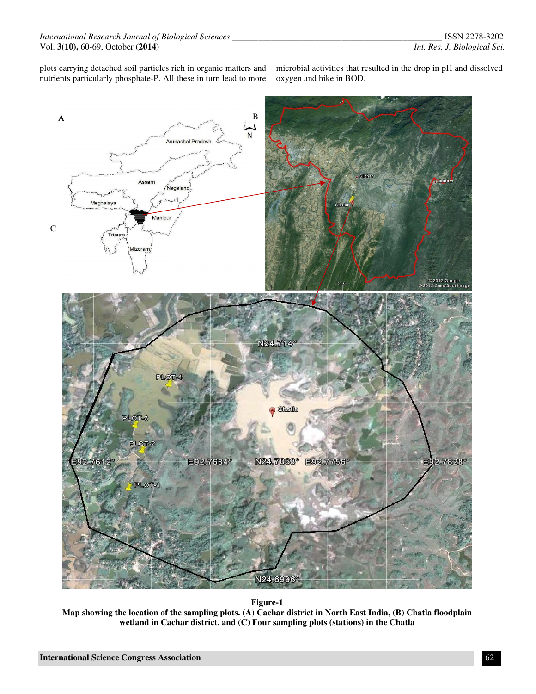plots carrying detached soil particles rich in organic matters and nutrients particularly phosphate-P. All these in turn lead to more

microbial activities that resulted in the drop in pH and dissolved oxygen and hike in BOD.



**Figure-1**

**Map showing the location of the sampling plots. (A) Cachar district in North East India, (B) Chatla floodplain wetland in Cachar district, and (C) Four sampling plots (stations) in the Chatla**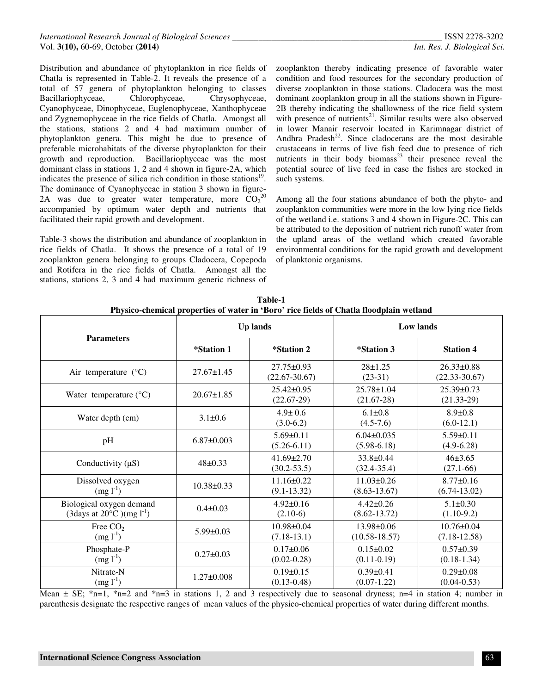Distribution and abundance of phytoplankton in rice fields of Chatla is represented in Table-2. It reveals the presence of a total of 57 genera of phytoplankton belonging to classes Bacillariophyceae, Chlorophyceae, Chrysophyceae, Cyanophyceae, Dinophyceae, Euglenophyceae, Xanthophyceae and Zygnemophyceae in the rice fields of Chatla. Amongst all the stations, stations 2 and 4 had maximum number of phytoplankton genera. This might be due to presence of preferable microhabitats of the diverse phytoplankton for their growth and reproduction. Bacillariophyceae was the most dominant class in stations 1, 2 and 4 shown in figure-2A, which indicates the presence of silica rich condition in those stations<sup>19</sup>. The dominance of Cyanophyceae in station 3 shown in figure-2A was due to greater water temperature, more  $CO_2^{20}$ accompanied by optimum water depth and nutrients that facilitated their rapid growth and development.

Table-3 shows the distribution and abundance of zooplankton in rice fields of Chatla. It shows the presence of a total of 19 zooplankton genera belonging to groups Cladocera, Copepoda and Rotifera in the rice fields of Chatla. Amongst all the stations, stations 2, 3 and 4 had maximum generic richness of

zooplankton thereby indicating presence of favorable water condition and food resources for the secondary production of diverse zooplankton in those stations. Cladocera was the most dominant zooplankton group in all the stations shown in Figure-2B thereby indicating the shallowness of the rice field system with presence of nutrients<sup>21</sup>. Similar results were also observed in lower Manair reservoir located in Karimnagar district of Andhra Pradesh<sup>22</sup>. Since cladocerans are the most desirable crustaceans in terms of live fish feed due to presence of rich nutrients in their body biomass<sup>23</sup> their presence reveal the potential source of live feed in case the fishes are stocked in such systems.

Among all the four stations abundance of both the phyto- and zooplankton communities were more in the low lying rice fields of the wetland i.e. stations 3 and 4 shown in Figure-2C. This can be attributed to the deposition of nutrient rich runoff water from the upland areas of the wetland which created favorable environmental conditions for the rapid growth and development of planktonic organisms.

| т нужо-сисписат ргорсгиез от water не того - гас невыз от слава поодранн wettang |                   |                                       |                                       |                                       |  |  |  |
|----------------------------------------------------------------------------------|-------------------|---------------------------------------|---------------------------------------|---------------------------------------|--|--|--|
| <b>Parameters</b>                                                                |                   | <b>Up lands</b>                       | <b>Low lands</b>                      |                                       |  |  |  |
|                                                                                  | <i>*Station 1</i> | <i>*Station 2</i>                     | <i>*Station 3</i>                     | <b>Station 4</b>                      |  |  |  |
| Air temperature $(^{\circ}C)$                                                    | $27.67 \pm 1.45$  | $27.75 \pm 0.93$<br>$(22.67 - 30.67)$ | $28 + 1.25$<br>$(23-31)$              | $26.33 \pm 0.88$<br>$(22.33 - 30.67)$ |  |  |  |
| Water temperature $(^{\circ}C)$                                                  | $20.67 \pm 1.85$  | $25.42\pm0.95$<br>$(22.67-29)$        | $25.78 \pm 1.04$<br>$(21.67-28)$      | $25.39 \pm 0.73$<br>$(21.33-29)$      |  |  |  |
| Water depth (cm)                                                                 | $3.1 \pm 0.6$     | $4.9 \pm 0.6$<br>$(3.0-6.2)$          | $6.1 \pm 0.8$<br>$(4.5 - 7.6)$        | $8.9 \pm 0.8$<br>$(6.0-12.1)$         |  |  |  |
| pH                                                                               | $6.87\pm0.003$    | $5.69 \pm 0.11$<br>$(5.26-6.11)$      | $6.04 \pm 0.035$<br>$(5.98-6.18)$     | $5.59 \pm 0.11$<br>$(4.9-6.28)$       |  |  |  |
| Conductivity $(\mu S)$                                                           | $48 \pm 0.33$     | $41.69 \pm 2.70$<br>$(30.2 - 53.5)$   | 33.8±0.44<br>$(32.4 - 35.4)$          | $46 \pm 3.65$<br>$(27.1-66)$          |  |  |  |
| Dissolved oxygen<br>$(mg l^{-1})$                                                | $10.38 \pm 0.33$  | $11.16 \pm 0.22$<br>$(9.1 - 13.32)$   | $11.03 \pm 0.26$<br>$(8.63 - 13.67)$  | $8.77 \pm 0.16$<br>$(6.74-13.02)$     |  |  |  |
| Biological oxygen demand<br>(3days at 20 $^{\circ}$ C)(mg l <sup>-1</sup> )      | $0.4 \pm 0.03$    | $4.92 \pm 0.16$<br>$(2.10-6)$         | $4.42\pm0.26$<br>$(8.62 - 13.72)$     | $5.1 \pm 0.30$<br>$(1.10-9.2)$        |  |  |  |
| Free CO <sub>2</sub><br>$(mg l^{-1})$                                            | $5.99 \pm 0.03$   | $10.98 \pm 0.04$<br>$(7.18-13.1)$     | $13.98 \pm 0.06$<br>$(10.58 - 18.57)$ | $10.76 \pm 0.04$<br>$(7.18 - 12.58)$  |  |  |  |
| Phosphate-P<br>$(mg l^{-1})$                                                     | $0.27 \pm 0.03$   | $0.17 \pm 0.06$<br>$(0.02 - 0.28)$    | $0.15 \pm 0.02$<br>$(0.11-0.19)$      | $0.57 \pm 0.39$<br>$(0.18 - 1.34)$    |  |  |  |
| Nitrate-N<br>$(mg l^{-1})$                                                       | $1.27 \pm 0.008$  | $0.19\pm0.15$<br>$(0.13 - 0.48)$      | $0.39 \pm 0.41$<br>$(0.07-1.22)$      | $0.29 \pm 0.08$<br>$(0.04 - 0.53)$    |  |  |  |

**Table-1 Physico-chemical properties of water in 'Boro' rice fields of Chatla floodplain wetland** 

Mean  $\pm$  SE;  $\ast$ n=1,  $\ast$ n=2 and  $\ast$ n=3 in stations 1, 2 and 3 respectively due to seasonal dryness; n=4 in station 4; number in parenthesis designate the respective ranges of mean values of the physico-chemical properties of water during different months.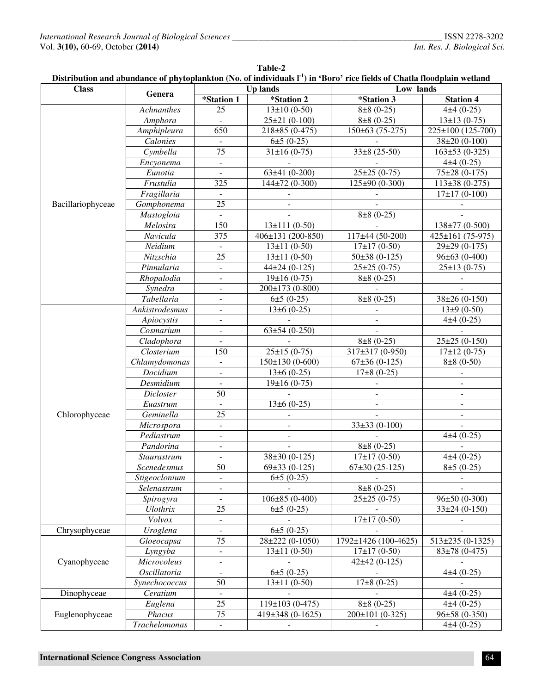| <b>Class</b>      |                                        | Distribution and abundance of phytopianKton (190, 01 murviduals г <i>)</i> in  Doro  rice neius of Chatla hoodplani wetland<br>Up lands<br>Low lands |                      |                      |                       |  |
|-------------------|----------------------------------------|------------------------------------------------------------------------------------------------------------------------------------------------------|----------------------|----------------------|-----------------------|--|
|                   | Genera                                 | *Station 1                                                                                                                                           | *Station 2           | *Station 3           | <b>Station 4</b>      |  |
|                   | Achnanthes                             | 25                                                                                                                                                   | $13\pm10(0-50)$      | $8\pm 8$ (0-25)      | $4±4(0-25)$           |  |
|                   | Amphora                                |                                                                                                                                                      | $25\pm21(0-100)$     | $8\pm 8$ (0-25)      | $13\pm13(0-75)$       |  |
|                   | $\overline{Amphi}$ pleura              | 650                                                                                                                                                  | $218\pm85(0-475)$    | $150\pm 63$ (75-275) | $225\pm100$ (125-700) |  |
|                   | Calonies                               |                                                                                                                                                      | $6±5(0-25)$          |                      | $38\pm20(0-100)$      |  |
|                   | Cymbella                               | $\overline{75}$                                                                                                                                      | $31\pm16(0-75)$      | $33\pm8(25-50)$      | $163\pm53(0-325)$     |  |
|                   | Encyonema                              | $\blacksquare$                                                                                                                                       |                      |                      | $4\pm4(0-25)$         |  |
|                   | Eunotia                                |                                                                                                                                                      | $63±41(0-200)$       | $25\pm 25(0-75)$     | 75±28 (0-175)         |  |
|                   | Frustulia                              | 325                                                                                                                                                  | 144±72 (0-300)       | 125±90 (0-300)       | $113\pm38(0-275)$     |  |
|                   | Fragillaria                            |                                                                                                                                                      |                      |                      | $17\pm17(0-100)$      |  |
| Bacillariophyceae | $\overline{G}$ omphonema               | $\overline{25}$                                                                                                                                      |                      |                      |                       |  |
|                   | Mastogloia                             |                                                                                                                                                      |                      | $8\pm 8$ (0-25)      |                       |  |
|                   | Melosira                               | 150                                                                                                                                                  | $13\pm111(0-50)$     |                      | 138±77 (0-500)        |  |
|                   | Navicula                               | 375                                                                                                                                                  | 406±131 (200-850)    | $117\pm44(50-200)$   | 425±161 (75-975)      |  |
|                   |                                        |                                                                                                                                                      |                      |                      |                       |  |
|                   | Neidium                                | $\overline{25}$                                                                                                                                      | $13 \pm 11 (0 - 50)$ | $17\pm17(0-50)$      | 29±29 (0-175)         |  |
|                   | Nitzschia                              |                                                                                                                                                      | $13 \pm 11 (0 - 50)$ | $50\pm38(0-125)$     | $96\pm 63(0-400)$     |  |
|                   | Pinnularia                             | $\overline{\phantom{a}}$                                                                                                                             | $44\pm24(0-125)$     | $25\pm25(0-75)$      | $25\pm13(0-75)$       |  |
|                   | Rhopalodia                             | $\overline{\phantom{a}}$                                                                                                                             | $19±16(0-75)$        | $8\pm 8$ (0-25)      |                       |  |
|                   | Synedra                                | $\overline{\phantom{a}}$                                                                                                                             | 200±173 (0-800)      |                      |                       |  |
|                   | Tabellaria                             | $\overline{\phantom{a}}$                                                                                                                             | $6±5(0-25)$          | $8\pm 8$ (0-25)      | $38\pm26(0-150)$      |  |
|                   | Ankistrodesmus                         | $\overline{\phantom{a}}$                                                                                                                             | $13\pm 6$ (0-25)     |                      | $13±9(0-50)$          |  |
|                   | Apiocystis                             | $\overline{\phantom{a}}$                                                                                                                             |                      |                      | $4±4(0-25)$           |  |
|                   | Cosmarium                              | ä,                                                                                                                                                   | $63\pm54(0-250)$     |                      |                       |  |
|                   | Cladophora                             |                                                                                                                                                      |                      | $8\pm 8$ (0-25)      | $25\pm25(0-150)$      |  |
|                   | Closterium                             | 150                                                                                                                                                  | $25±15(0-75)$        | 317±317 (0-950)      | $17\pm12(0-75)$       |  |
|                   | Chlamydomonas                          | $\mathbf{r}$                                                                                                                                         | $150\pm130(0-600)$   | $67\pm36(0-125)$     | $8\pm 8$ (0-50)       |  |
|                   | Docidium                               | $\blacksquare$                                                                                                                                       | $13\pm 6$ (0-25)     | $17\pm8(0-25)$       |                       |  |
| Chlorophyceae     | Desmidium                              |                                                                                                                                                      | $19±16(0-75)$        |                      |                       |  |
|                   | Dicloster                              | 50                                                                                                                                                   |                      |                      |                       |  |
|                   | Euastrum                               |                                                                                                                                                      | $13\pm 6$ (0-25)     |                      |                       |  |
|                   | Geminella                              | $\overline{25}$                                                                                                                                      |                      |                      |                       |  |
|                   | Microspora<br>$\overline{\phantom{a}}$ |                                                                                                                                                      |                      | $33\pm33(0-100)$     |                       |  |
|                   | Pediastrum                             | $\blacksquare$                                                                                                                                       |                      |                      | $4±4(0-25)$           |  |
|                   | Pandorina                              | $\overline{\phantom{a}}$                                                                                                                             |                      | $8\pm 8$ (0-25)      |                       |  |
|                   | Staurastrum                            |                                                                                                                                                      | $38\pm30(0-125)$     | $17\pm17(0-50)$      | $4±4(0-25)$           |  |
|                   | Scenedesmus                            | 50                                                                                                                                                   | $69\pm33(0-125)$     | $67\pm30(25-125)$    | $8±5(0-25)$           |  |
|                   | Stigeoclonium                          |                                                                                                                                                      | $6±5(0-25)$          |                      |                       |  |
|                   | Selenastrum                            |                                                                                                                                                      |                      | $8\pm 8$ (0-25)      |                       |  |
|                   | Spirogyra                              |                                                                                                                                                      | $106\pm85(0-400)$    | $25\pm 25(0-75)$     | $96\pm50(0-300)$      |  |
|                   | <b>Ulothrix</b>                        | 25                                                                                                                                                   | $6±5(0-25)$          |                      | $33\pm24(0-150)$      |  |
|                   | Volvox                                 | $\overline{\phantom{a}}$                                                                                                                             |                      | $17\pm17(0-50)$      |                       |  |
| Chrysophyceae     | Uroglena                               |                                                                                                                                                      | $6±5(0-25)$          |                      |                       |  |
| Cyanophyceae      | Gloeocapsa                             | 75                                                                                                                                                   | 28±222 (0-1050)      | 1792±1426 (100-4625) | $513\pm235(0-1325)$   |  |
|                   | Lyngyba                                | $\blacksquare$                                                                                                                                       | $13 \pm 11 (0 - 50)$ | $17\pm17(0-50)$      | $83\pm78(0-475)$      |  |
|                   | Microcoleus                            | $\overline{\phantom{0}}$                                                                                                                             |                      | $42\pm42(0-125)$     |                       |  |
|                   | <b>Oscillatoria</b>                    | $\overline{\phantom{0}}$                                                                                                                             | $6±5(0-25)$          |                      | $4\pm 4(0-25)$        |  |
|                   | Synechococcus                          | $\overline{50}$                                                                                                                                      | $13 \pm 11 (0 - 50)$ | $17\pm8(0-25)$       |                       |  |
| Dinophyceae       | Ceratium                               |                                                                                                                                                      |                      |                      | $4±4(0-25)$           |  |
|                   | Euglena                                | $\overline{25}$                                                                                                                                      | $119\pm 103(0-475)$  | $8\pm 8$ (0-25)      | $4±4(0-25)$           |  |
| Euglenophyceae    | Phacus                                 | $\overline{75}$                                                                                                                                      | 419±348 (0-1625)     | 200±101 (0-325)      | $96±58(0-350)$        |  |
|                   | Trachelomonas                          |                                                                                                                                                      |                      |                      | $4±4(0-25)$           |  |

| Table-2                                                                                                                    |  |
|----------------------------------------------------------------------------------------------------------------------------|--|
| Distribution and abundance of phytoplankton (No. of individuals $I-1$ ) in 'Boro' rice fields of Chatla floodplain wetland |  |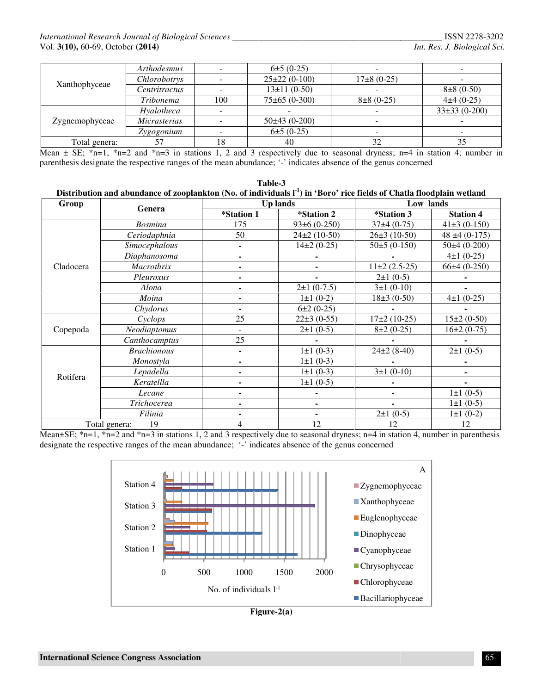|                | Arthodesmus          |      | $6\pm 5(0-25)$    |                 |                  |
|----------------|----------------------|------|-------------------|-----------------|------------------|
|                | Chlorobotrys         |      | $25\pm22(0-100)$  | $17\pm8(0-25)$  |                  |
| Xanthophyceae  | <i>Centritractus</i> |      | $13\pm11(0-50)$   |                 | $8\pm 8$ (0-50)  |
|                | Tribonema            | 100. | $75\pm65(0-300)$  | $8\pm 8$ (0-25) | $4\pm4(0-25)$    |
| Zygnemophyceae | Hyalotheca           |      |                   |                 | $33\pm33(0-200)$ |
|                | <i>Micrasterias</i>  |      | $50\pm 43(0-200)$ |                 |                  |
|                | Zygogonium           |      | $6±5(0-25)$       |                 |                  |
| Total genera:  |                      | 18   | 40                | 32              | 35               |

|                | Arthodesmus                                                                                                                                                                                                                                    |                     |                          |                 | $6±5(0-25)$              |                          |                                                |                    |
|----------------|------------------------------------------------------------------------------------------------------------------------------------------------------------------------------------------------------------------------------------------------|---------------------|--------------------------|-----------------|--------------------------|--------------------------|------------------------------------------------|--------------------|
| Xanthophyceae  | Chlorobotrys                                                                                                                                                                                                                                   |                     | ÷                        |                 | $25\pm22(0-100)$         |                          | $17\pm8(0-25)$                                 |                    |
|                | Centritractus                                                                                                                                                                                                                                  |                     | $\blacksquare$           |                 | $13\pm11(0-50)$          |                          |                                                | $8\pm 8$ (0-50)    |
|                | Tribonema                                                                                                                                                                                                                                      |                     | 100                      |                 | $75\pm65(0-300)$         |                          | $8\pm 8$ (0-25)                                | $4±4(0-25)$        |
|                | Hyalotheca                                                                                                                                                                                                                                     |                     | $\overline{a}$           |                 |                          |                          |                                                | $33\pm33(0-200)$   |
| Zygnemophyceae | Micrasterias                                                                                                                                                                                                                                   |                     | $\overline{\phantom{a}}$ |                 | $50\pm43(0-200)$         |                          |                                                |                    |
|                | Zygogonium                                                                                                                                                                                                                                     |                     | $\overline{\phantom{a}}$ |                 | $6±5(0-25)$              |                          | $\blacksquare$                                 |                    |
| Total genera:  | 57                                                                                                                                                                                                                                             |                     | 18                       | 40              |                          |                          | 32                                             | 35                 |
|                | Mean $\pm$ SE; *n=1, *n=2 and *n=3 in stations 1, 2 and 3 respectively due to seasonal dryness; n=4 in station 4; number in                                                                                                                    |                     |                          |                 |                          |                          |                                                |                    |
|                | parenthesis designate the respective ranges of the mean abundance; '-' indicates absence of the genus concerned<br>Distribution and abundance of zooplankton (No. of individuals $I1$ ) in 'Boro' rice fields of Chatla floodplain wetland     |                     |                          | Table-3         |                          |                          |                                                |                    |
| Group          |                                                                                                                                                                                                                                                |                     |                          | <b>Up lands</b> |                          |                          |                                                | Low lands          |
|                | Genera                                                                                                                                                                                                                                         |                     | *Station 1               |                 | *Station 2               |                          | *Station 3                                     | <b>Station 4</b>   |
|                | <b>Bosmina</b>                                                                                                                                                                                                                                 |                     | 175                      |                 | $93±6(0-250)$            |                          | $37±4(0-75)$                                   | $41\pm3(0-150)$    |
|                | Ceriodaphnia                                                                                                                                                                                                                                   |                     | 50                       |                 | $24\pm2(10-50)$          |                          | $26\pm3(10-50)$                                | $48 \pm 4 (0-175)$ |
|                | Simocephalous                                                                                                                                                                                                                                  |                     | $\blacksquare$           |                 | $14\pm2(0-25)$           |                          | $50±5(0-150)$                                  | $50\pm4(0-200)$    |
|                | Diaphanosoma                                                                                                                                                                                                                                   |                     | $\blacksquare$           |                 | $\overline{\phantom{a}}$ |                          |                                                | $4\pm1(0-25)$      |
| Cladocera      | Macrothrix                                                                                                                                                                                                                                     |                     | $\blacksquare$           |                 | $\overline{\phantom{a}}$ |                          | $11\pm2(2.5-25)$                               | $66±4(0-250)$      |
|                | Pleuroxus                                                                                                                                                                                                                                      |                     | ٠                        |                 | $\blacksquare$           |                          | $2\pm 1$ (0-5)                                 |                    |
|                | Alona                                                                                                                                                                                                                                          |                     |                          |                 | $2\pm1(0-7.5)$           |                          | $3±1(0-10)$                                    |                    |
|                | Moina                                                                                                                                                                                                                                          |                     | ۰                        |                 | $1 \pm 1$ (0-2)          |                          | $18\pm3(0-50)$                                 | $4\pm1(0-25)$      |
|                |                                                                                                                                                                                                                                                | Chydorus            |                          |                 | $6\pm2(0-25)$            |                          |                                                |                    |
|                | Cyclops                                                                                                                                                                                                                                        |                     | 25                       |                 | $22\pm3(0-55)$           |                          | $17\pm2(10-25)$                                | $15\pm2(0-50)$     |
| Copepoda       |                                                                                                                                                                                                                                                | Neodiaptomus        |                          | $\blacksquare$  |                          | $2\pm 1$ (0-5)           | $8\pm2(0-25)$                                  | $16\pm2(0-75)$     |
|                | Canthocamptus                                                                                                                                                                                                                                  |                     | 25                       |                 |                          |                          |                                                |                    |
|                |                                                                                                                                                                                                                                                | <b>Brachionous</b>  |                          | $\blacksquare$  |                          | $1\pm1(0-3)$             | $24\pm2(8-40)$                                 | $2±1(0-5)$         |
|                | Monostyla                                                                                                                                                                                                                                      |                     | ۰                        |                 | $1\pm1(0-3)$             |                          |                                                |                    |
| Rotifera       | Lepadella                                                                                                                                                                                                                                      |                     | ٠                        |                 | $1 \pm 1$ (0-3)          |                          | $3±1(0-10)$                                    |                    |
|                | Keratellla                                                                                                                                                                                                                                     |                     | $1\pm 1$ (0-5)<br>٠      |                 |                          |                          |                                                |                    |
|                | Lecane                                                                                                                                                                                                                                         |                     | ٠                        |                 | $\blacksquare$           |                          |                                                | $1\pm1(0-5)$       |
|                | Trichocerea                                                                                                                                                                                                                                    |                     | $\blacksquare$           |                 | $\blacksquare$           |                          |                                                | $1\pm 1$ (0-5)     |
| Filinia        |                                                                                                                                                                                                                                                | $\blacksquare$<br>٠ |                          |                 | $2\pm 1$ (0-5)           | $1\pm1(0-2)$             |                                                |                    |
|                | 19<br>Total genera:                                                                                                                                                                                                                            |                     | 4                        |                 | 12                       |                          | 12                                             | 12                 |
|                | Mean $\pm$ SE; *n=1, *n=2 and *n=3 in stations 1, 2 and 3 respectively due to seasonal dryness; n=4 in station 4, number in parenthesis<br>designate the respective ranges of the mean abundance; '-' indicates absence of the genus concerned |                     |                          |                 |                          |                          |                                                |                    |
|                |                                                                                                                                                                                                                                                |                     |                          |                 |                          |                          |                                                | A                  |
|                | Station 4                                                                                                                                                                                                                                      |                     |                          |                 |                          |                          | ■ Zygnemophyceae                               |                    |
|                | Station 3                                                                                                                                                                                                                                      |                     |                          |                 |                          |                          | $\blacksquare$ Xanthophyceae                   |                    |
|                | Station 2                                                                                                                                                                                                                                      |                     |                          |                 |                          |                          | Euglenophyceae                                 |                    |
|                | Station 1                                                                                                                                                                                                                                      |                     |                          |                 |                          |                          | Dinophyceae                                    |                    |
|                |                                                                                                                                                                                                                                                |                     |                          |                 |                          |                          | $\blacksquare$ Cyanophyceae<br>■ Chrysophyceae |                    |
|                | 0                                                                                                                                                                                                                                              |                     | 1000<br>500              |                 | 1500<br>2000             |                          | ■ Chlorophyceae                                |                    |
|                | No. of individuals $l^{-1}$                                                                                                                                                                                                                    |                     |                          |                 |                          | <b>Bacillariophyceae</b> |                                                |                    |
|                |                                                                                                                                                                                                                                                |                     |                          | Figure- $2(a)$  |                          |                          |                                                |                    |
|                |                                                                                                                                                                                                                                                |                     |                          |                 |                          |                          |                                                |                    |
|                | <b>International Science Congress Association</b>                                                                                                                                                                                              |                     |                          |                 |                          |                          |                                                | 65                 |
|                |                                                                                                                                                                                                                                                |                     |                          |                 |                          |                          |                                                |                    |



**Figure-2(a)**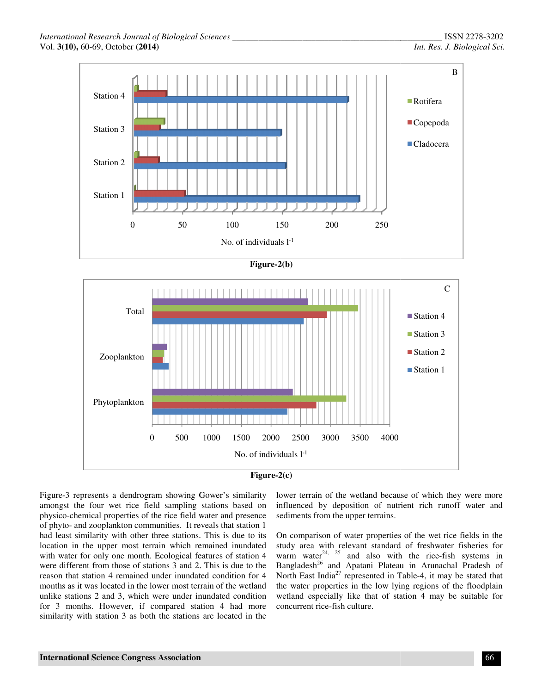





Figure-3 represents a dendrogram showing Gower's similarity amongst the four wet rice field sampling stations based on physico-chemical properties of the rice field water and presence of phyto- and zooplankton communities. It reveals that station 1 had least similarity with other three stations. This is due to its location in the upper most terrain which remained inundated with water for only one month. Ecological features of station 4 were different from those of stations 3 and 2. This is due to the reason that station 4 remained under inundated condition for 4 months as it was located in the lower most terrain of the wetland unlike stations 2 and 3, which were under inundated condition for 3 months. However, if compared station 4 had more similarity with station 3 as both the stations are located in the amongst the four wet rice field sampling stations based on physico-chemical properties of the rice field water and presence of phyto- and zooplankton communities. It reveals that station 1 had least similarity with other t

lower terrain of the wetland because of which they were more influenced by deposition of nutrient rich runoff water and sediments from the upper terrains.

On comparison of water properties of the wet rice fields in the study area with relevant standard of freshwater fisheries for lower terrain of the wetland because of which they were more<br>influenced by deposition of nutrient rich runoff water and<br>sediments from the upper terrains.<br>On comparison of water properties of the wet rice fields in the<br>stu Bangladesh<sup>26</sup> and Apatani Plateau in Arunachal Pradesh of Bangladesh<sup>26</sup> and Apatani Plateau in Arunachal Pradesh of North East India<sup>27</sup> represented in Table-4, it may be stated that the water properties in the low lying regions of the floodplain wetland especially like that of station 4 may be suitable for concurrent rice-fish culture.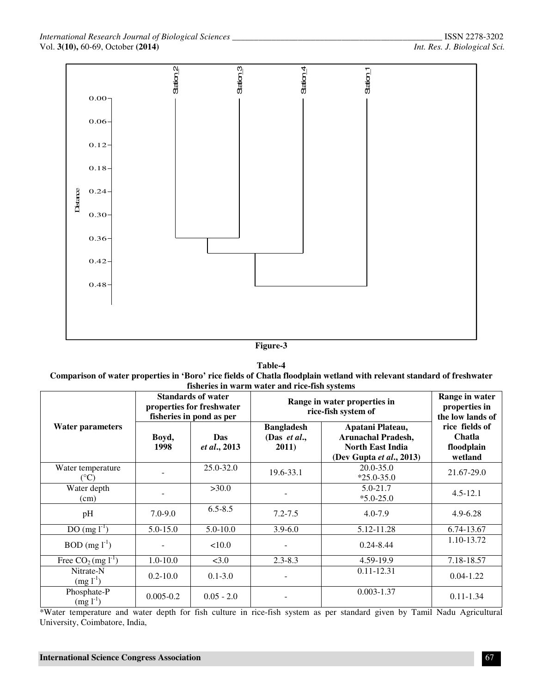

#### **Table-4 Comparison of water properties in 'Boro' rice fields of Chatla floodplain wetland with relevant standard of freshwater fisheries in warm water and rice-fish systems**

|                                      |               | <b>Standards of water</b><br>properties for freshwater<br>fisheries in pond as per | Range in water properties in<br>rice-fish system of | Range in water<br>properties in<br>the low lands of                                                  |                                                   |
|--------------------------------------|---------------|------------------------------------------------------------------------------------|-----------------------------------------------------|------------------------------------------------------------------------------------------------------|---------------------------------------------------|
| <b>Water parameters</b>              | Boyd,<br>1998 | Das<br>et al., 2013                                                                | <b>Bangladesh</b><br>(Das et al.,<br>2011)          | Apatani Plateau,<br><b>Arunachal Pradesh,</b><br><b>North East India</b><br>(Dev Gupta et al., 2013) | rice fields of<br>Chatla<br>floodplain<br>wetland |
| Water temperature<br>$({}^{\circ}C)$ |               | 25.0-32.0                                                                          | 19.6-33.1                                           | $20.0 - 35.0$<br>$*25.0 - 35.0$                                                                      | 21.67-29.0                                        |
| Water depth<br>(cm)                  |               | >30.0                                                                              |                                                     | $5.0 - 21.7$<br>$*5.0 - 25.0$                                                                        | $4.5 - 12.1$                                      |
| pH                                   | $7.0 - 9.0$   | $6.5 - 8.5$                                                                        | $7.2 - 7.5$                                         | $4.0 - 7.9$                                                                                          | $4.9 - 6.28$                                      |
| $DO (mg l-1)$                        | $5.0 - 15.0$  | $5.0 - 10.0$                                                                       | $3.9 - 6.0$                                         | 5.12-11.28                                                                                           | 6.74-13.67                                        |
| $BOD$ (mg $1^{-1}$ )                 |               | 10.0                                                                               |                                                     | $0.24 - 8.44$                                                                                        | 1.10-13.72                                        |
| Free $CO_2$ (mg $l^{-1}$ )           | $1.0 - 10.0$  | < 3.0                                                                              | $2.3 - 8.3$                                         | 4.59-19.9                                                                                            | 7.18-18.57                                        |
| Nitrate-N<br>$(mg l^{-1})$           | $0.2 - 10.0$  | $0.1 - 3.0$                                                                        |                                                     | $0.11 - 12.31$                                                                                       | $0.04 - 1.22$                                     |
| Phosphate-P<br>$(mg l^{-1})$         | $0.005 - 0.2$ | $0.05 - 2.0$                                                                       |                                                     | $0.003 - 1.37$                                                                                       | $0.11 - 1.34$                                     |

\*Water temperature and water depth for fish culture in rice-fish system as per standard given by Tamil Nadu Agricultural University, Coimbatore, India,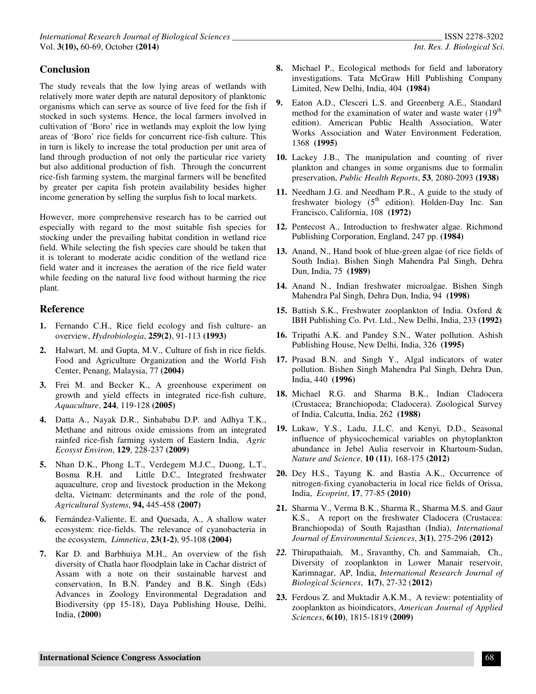### **Conclusion**

The study reveals that the low lying areas of wetlands with relatively more water depth are natural depository of planktonic organisms which can serve as source of live feed for the fish if stocked in such systems. Hence, the local farmers involved in cultivation of 'Boro' rice in wetlands may exploit the low lying areas of 'Boro' rice fields for concurrent rice-fish culture. This in turn is likely to increase the total production per unit area of land through production of not only the particular rice variety but also additional production of fish. Through the concurrent rice-fish farming system, the marginal farmers will be benefited by greater per capita fish protein availability besides higher income generation by selling the surplus fish to local markets.

However, more comprehensive research has to be carried out especially with regard to the most suitable fish species for stocking under the prevailing habitat condition in wetland rice field. While selecting the fish species care should be taken that it is tolerant to moderate acidic condition of the wetland rice field water and it increases the aeration of the rice field water while feeding on the natural live food without harming the rice plant.

#### **Reference**

- **1.** Fernando C.H., Rice field ecology and fish culture- an overview, *Hydrobiologia*, **259(2)**, 91-113 **(1993)**
- **2.** Halwart, M. and Gupta, M.V., Culture of fish in rice fields. Food and Agriculture Organization and the World Fish Center, Penang, Malaysia, 77 **(2004)**
- **3.** Frei M. and Becker K., A greenhouse experiment on growth and yield effects in integrated rice-fish culture, *Aquaculture*, **244**, 119-128 **(2005)**
- **4.** Datta A., Nayak D.R., Sinhababu D.P. and Adhya T.K., Methane and nitrous oxide emissions from an integrated rainfed rice-fish farming system of Eastern India, *Agric Ecosyst Environ*, **129**, 228-237 **(2009)**
- **5.** Nhan D.K., Phong L.T., Verdegem M.J.C., Duong, L.T., Bosma R.H. and Little D.C., Integrated freshwater aquaculture, crop and livestock production in the Mekong delta, Vietnam: determinants and the role of the pond, *Agricultural Systems*, **94,** 445-458 **(2007)**
- **6.** Fernández-Valiente, E. and Quesada, A., A shallow water ecosystem: rice-fields. The relevance of cyanobacteria in the ecosystem, *Limnetica*, **23(1-2)**, 95-108 **(2004)**
- **7.** Kar D. and Barbhuiya M.H., An overview of the fish diversity of Chatla haor floodplain lake in Cachar district of Assam with a note on their sustainable harvest and conservation, In B.N. Pandey and B.K. Singh (Eds) Advances in Zoology Environmental Degradation and Biodiversity (pp 15-18), Daya Publishing House, Delhi, India, **(2000)**
- **8.** Michael P., Ecological methods for field and laboratory investigations. Tata McGraw Hill Publishing Company Limited, New Delhi, India, 404 **(1984)**
- **9.** Eaton A.D., Clesceri L.S. and Greenberg A.E., Standard method for the examination of water and waste water  $(19<sup>th</sup>)$ edition). American Public Health Association, Water Works Association and Water Environment Federation, 1368 **(1995)**
- **10.** Lackey J.B., The manipulation and counting of river plankton and changes in some organisms due to formalin preservation, *Public Health Reports*, **53**, 2080-2093 **(1938)**
- **11.** Needham J.G. and Needham P.R., A guide to the study of freshwater biology  $(5<sup>th</sup>$  edition). Holden-Day Inc. San Francisco, California, 108 **(1972)**
- **12.** Pentecost A., Introduction to freshwater algae. Richmond Publishing Corporation, England, 247 pp. **(1984)**
- **13.** Anand, N., Hand book of blue-green algae (of rice fields of South India). Bishen Singh Mahendra Pal Singh, Dehra Dun, India, 75 **(1989)**
- **14.** Anand N., Indian freshwater microalgae. Bishen Singh Mahendra Pal Singh, Dehra Dun, India, 94 **(1998)**
- **15.** Battish S.K., Freshwater zooplankton of India. Oxford & IBH Publishing Co. Pvt. Ltd., New Delhi, India, 233 **(1992)**
- **16.** Tripathi A.K. and Pandey S.N., Water pollution. Ashish Publishing House, New Delhi, India, 326 **(1995)**
- **17.** Prasad B.N. and Singh Y., Algal indicators of water pollution. Bishen Singh Mahendra Pal Singh, Dehra Dun, India, 440 **(1996)**
- **18.** Michael R.G. and Sharma B.K., Indian Cladocera (Crustacea; Branchiopoda; Cladocera). Zoological Survey of India, Calcutta, India, 262 **(1988)**
- **19.** Lukaw, Y.S., Ladu, J.L.C. and Kenyi, D.D., Seasonal influence of physicochemical variables on phytoplankton abundance in Jebel Aulia reservoir in Khartoum-Sudan, *Nature and Science*, **10 (11)**, 168-175 **(2012)**
- **20.** Dey H.S., Tayung K. and Bastia A.K., Occurrence of nitrogen-fixing cyanobacteria in local rice fields of Orissa, India, *Ecoprint*, **17**, 77-85 **(2010)**
- **21.** Sharma V., Verma B.K., Sharma R., Sharma M.S. and Gaur K.S., A report on the freshwater Cladocera (Crustacea: Branchiopoda) of South Rajasthan (India), *International Journal of Environmental Sciences*, **3(1)**, 275-296 **(2012)**
- *22.* Thirupathaiah, M., Sravanthy, Ch. and Sammaiah, Ch., Diversity of zooplankton in Lower Manair reservoir, Karimnagar, AP, India, *International Research Journal of Biological Sciences*, **1(7)**, 27-32 (**2012**)
- **23.** Ferdous Z. and Muktadir A.K.M., A review: potentiality of zooplankton as bioindicators, *American Journal of Applied Sciences*, **6(10)**, 1815-1819 **(2009)**